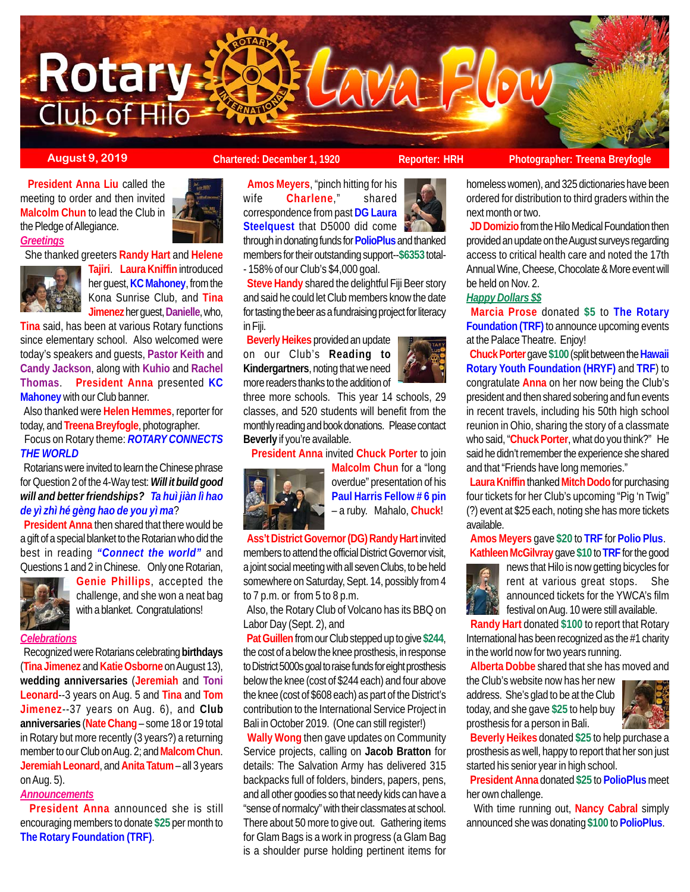

 **President Anna Liu** called the meeting to order and then invited **Malcolm Chun** to lead the Club in the Pledge of Allegiance. *Greetings*



She thanked greeters **Randy Hart** and **Helene**



**Tajiri**. **Laura Kniffin** introduced her guest, **KC Mahoney**, from the Kona Sunrise Club, and **Tina Jimenez** her guest, **Danielle**, who,

**Tina** said, has been at various Rotary functions since elementary school. Also welcomed were today's speakers and guests, **Pastor Keith** and **Candy Jackson**, along with **Kuhio** and **Rachel Thomas**. **President Anna** presented **KC Mahoney** with our Club banner.

 Also thanked were **Helen Hemmes**, reporter for today, and **Treena Breyfogle**, photographer.

 Focus on Rotary theme: *ROTARY CONNECTS THE WORLD*

 Rotarians were invited to learn the Chinese phrase for Question 2 of the 4-Way test: *Will it build good will and better friendships? Ta huì jiàn lì hao de yì zhì hé gèng hao de you yì ma*?

 **President Anna** then shared that there would be a gift of a special blanket to the Rotarian who did the best in reading *"Connect the world"* and Questions 1 and 2 in Chinese. Only one Rotarian,



**Genie Phillips**, accepted the challenge, and she won a neat bag with a blanket. Congratulations!

#### *Celebrations*

 Recognized were Rotarians celebrating **birthdays** (**Tina Jimenez** and **Katie Osborne** on August 13), **wedding anniversaries** (**Jeremiah** and **Toni Leonard**--3 years on Aug. 5 and **Tina** and **Tom Jimenez**--37 years on Aug. 6), and **Club anniversaries** (**Nate Chang** – some 18 or 19 total in Rotary but more recently (3 years?) a returning member to our Club on Aug. 2; and **Malcom Chun**. **Jeremiah Leonard**, and **Anita Tatum** – all 3 years on Aug. 5).

# *Announcements*

 **President Anna** announced she is still encouraging members to donate **\$25** per month to **The Rotary Foundation (TRF)**.

**August 9, 2019 Chartered: December 1, 1920** Reporter: HRH Photographer: Treena Breyfogle

 **Amos Meyers**, "pinch hitting for his wife **Charlene**," shared correspondence from past **DG Laura Steelquest** that D5000 did come through in donating funds for **PolioPlus** and thanked members for their outstanding support--**\$6353** total- - 158% of our Club's \$4,000 goal.

 **Steve Handy** shared the delightful Fiji Beer story and said he could let Club members know the date for tasting the beer as a fundraising project for literacy in Fiji.

 **Beverly Heikes** provided an update on our Club's **Reading to Kindergartners**, noting that we need more readers thanks to the addition of

three more schools. This year 14 schools, 29 classes, and 520 students will benefit from the monthly reading and book donations. Please contact **Beverly** if you're available.

# **President Anna** invited **Chuck Porter** to join



**Malcolm Chun** for a "long overdue" presentation of his **Paul Harris Fellow # 6 pin** – a ruby. Mahalo, **Chuck**!

 **Ass't District Governor (DG) Randy Hart** invited members to attend the official District Governor visit, a joint social meeting with all seven Clubs, to be held somewhere on Saturday, Sept. 14, possibly from 4 to 7 p.m. or from 5 to 8 p.m.

 Also, the Rotary Club of Volcano has its BBQ on Labor Day (Sept. 2), and

 **Pat Guillen** from our Club stepped up to give **\$244**, the cost of a below the knee prosthesis, in response to District 5000s goal to raise funds for eight prosthesis below the knee (cost of \$244 each) and four above the knee (cost of \$608 each) as part of the District's contribution to the International Service Project in Bali in October 2019. (One can still register!)

 **Wally Wong** then gave updates on Community Service projects, calling on **Jacob Bratton** for details: The Salvation Army has delivered 315 backpacks full of folders, binders, papers, pens, and all other goodies so that needy kids can have a "sense of normalcy" with their classmates at school. There about 50 more to give out. Gathering items for Glam Bags is a work in progress (a Glam Bag is a shoulder purse holding pertinent items for



homeless women), and 325 dictionaries have been ordered for distribution to third graders within the next month or two.

 **JD Domizio** from the Hilo Medical Foundation then provided an update on the August surveys regarding access to critical health care and noted the 17th Annual Wine, Cheese, Chocolate & More event will be held on Nov. 2.

### *Happy Dollars \$\$*

**Marcia Prose** donated **\$5** to **The Rotary Foundation (TRF)** to announce upcoming events at the Palace Theatre. Enjoy!

 **Chuck Porter** gave **\$100** (split between the **Hawaii Rotary Youth Foundation (HRYF)** and **TRF**) to congratulate **Anna** on her now being the Club's president and then shared sobering and fun events in recent travels, including his 50th high school reunion in Ohio, sharing the story of a classmate who said, "**Chuck Porter**, what do you think?" He said he didn't remember the experience she shared and that "Friends have long memories."

 **Laura Kniffin** thanked **Mitch Dodo** for purchasing four tickets for her Club's upcoming "Pig 'n Twig" (?) event at \$25 each, noting she has more tickets available.

### **Amos Meyers** gave **\$20** to **TRF** for **Polio Plus**.  **Kathleen McGilvray** gave **\$10** to **TRF** for the good



news that Hilo is now getting bicycles for rent at various great stops. She announced tickets for the YWCA's film festival on Aug. 10 were still available.

 **Randy Hart** donated **\$100** to report that Rotary International has been recognized as the #1 charity in the world now for two years running.

 **Alberta Dobbe** shared that she has moved and the Club's website now has her new address. She's glad to be at the Club today, and she gave **\$25** to help buy prosthesis for a person in Bali.



 **Beverly Heikes** donated **\$25** to help purchase a prosthesis as well, happy to report that her son just started his senior year in high school.

 **President Anna** donated **\$25** to **PolioPlus** meet her own challenge.

 With time running out, **Nancy Cabral** simply announced she was donating **\$100** to **PolioPlus**.